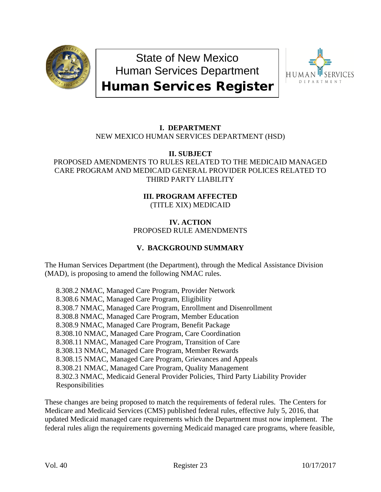

State of New Mexico Human Services Department



# Human Services Register

#### **I. DEPARTMENT** NEW MEXICO HUMAN SERVICES DEPARTMENT (HSD)

## **II. SUBJECT**

## PROPOSED AMENDMENTS TO RULES RELATED TO THE MEDICAID MANAGED CARE PROGRAM AND MEDICAID GENERAL PROVIDER POLICES RELATED TO THIRD PARTY LIABILITY

#### **III. PROGRAM AFFECTED** (TITLE XIX) MEDICAID

## **IV. ACTION** PROPOSED RULE AMENDMENTS

# **V. BACKGROUND SUMMARY**

The Human Services Department (the Department), through the Medical Assistance Division (MAD), is proposing to amend the following NMAC rules.

8.308.2 NMAC, Managed Care Program, Provider Network 8.308.6 NMAC, Managed Care Program, Eligibility 8.308.7 NMAC, Managed Care Program, Enrollment and Disenrollment 8.308.8 NMAC, Managed Care Program, Member Education 8.308.9 NMAC, Managed Care Program, Benefit Package 8.308.10 NMAC, Managed Care Program, Care Coordination 8.308.11 NMAC, Managed Care Program, Transition of Care 8.308.13 NMAC, Managed Care Program, Member Rewards 8.308.15 NMAC, Managed Care Program, Grievances and Appeals 8.308.21 NMAC, Managed Care Program, Quality Management 8.302.3 NMAC, Medicaid General Provider Policies, Third Party Liability Provider Responsibilities

These changes are being proposed to match the requirements of federal rules. The Centers for Medicare and Medicaid Services (CMS) published federal rules, effective July 5, 2016, that updated Medicaid managed care requirements which the Department must now implement. The federal rules align the requirements governing Medicaid managed care programs, where feasible,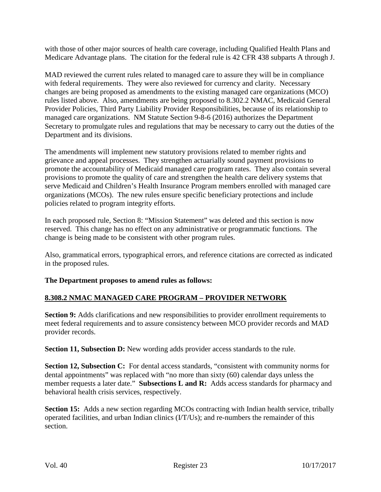with those of other major sources of health care coverage, including Qualified Health Plans and Medicare Advantage plans. The citation for the federal rule is 42 CFR 438 subparts A through J.

MAD reviewed the current rules related to managed care to assure they will be in compliance with federal requirements. They were also reviewed for currency and clarity. Necessary changes are being proposed as amendments to the existing managed care organizations (MCO) rules listed above. Also, amendments are being proposed to 8.302.2 NMAC, Medicaid General Provider Policies, Third Party Liability Provider Responsibilities, because of its relationship to managed care organizations. NM Statute Section 9-8-6 (2016) authorizes the Department Secretary to promulgate rules and regulations that may be necessary to carry out the duties of the Department and its divisions.

The amendments will implement new statutory provisions related to member rights and grievance and appeal processes. They strengthen actuarially sound payment provisions to promote the accountability of Medicaid managed care program rates. They also contain several provisions to promote the quality of care and strengthen the health care delivery systems that serve Medicaid and Children's Health Insurance Program members enrolled with managed care organizations (MCOs). The new rules ensure specific beneficiary protections and include policies related to program integrity efforts.

In each proposed rule, Section 8: "Mission Statement" was deleted and this section is now reserved. This change has no effect on any administrative or programmatic functions. The change is being made to be consistent with other program rules.

Also, grammatical errors, typographical errors, and reference citations are corrected as indicated in the proposed rules.

## **The Department proposes to amend rules as follows:**

# **8.308.2 NMAC MANAGED CARE PROGRAM – PROVIDER NETWORK**

**Section 9:** Adds clarifications and new responsibilities to provider enrollment requirements to meet federal requirements and to assure consistency between MCO provider records and MAD provider records.

**Section 11, Subsection D:** New wording adds provider access standards to the rule.

**Section 12, Subsection C:** For dental access standards, "consistent with community norms for dental appointments" was replaced with "no more than sixty (60) calendar days unless the member requests a later date." **Subsections L and R:** Adds access standards for pharmacy and behavioral health crisis services, respectively.

**Section 15:** Adds a new section regarding MCOs contracting with Indian health service, tribally operated facilities, and urban Indian clinics (I/T/Us); and re-numbers the remainder of this section.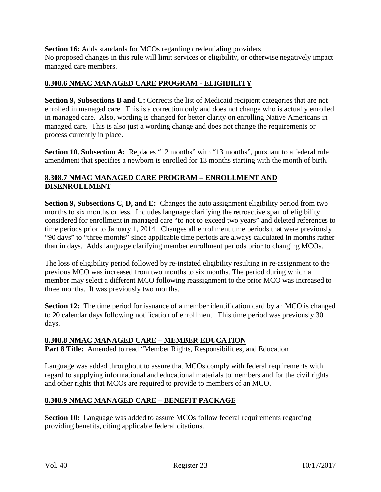**Section 16:** Adds standards for MCOs regarding credentialing providers. No proposed changes in this rule will limit services or eligibility, or otherwise negatively impact managed care members.

## **8.308.6 NMAC MANAGED CARE PROGRAM - ELIGIBILITY**

**Section 9, Subsections B and C:** Corrects the list of Medicaid recipient categories that are not enrolled in managed care. This is a correction only and does not change who is actually enrolled in managed care. Also, wording is changed for better clarity on enrolling Native Americans in managed care. This is also just a wording change and does not change the requirements or process currently in place.

**Section 10, Subsection A:** Replaces "12 months" with "13 months", pursuant to a federal rule amendment that specifies a newborn is enrolled for 13 months starting with the month of birth.

## **8.308.7 NMAC MANAGED CARE PROGRAM – ENROLLMENT AND DISENROLLMENT**

**Section 9, Subsections C, D, and E:** Changes the auto assignment eligibility period from two months to six months or less. Includes language clarifying the retroactive span of eligibility considered for enrollment in managed care "to not to exceed two years" and deleted references to time periods prior to January 1, 2014. Changes all enrollment time periods that were previously "90 days" to "three months" since applicable time periods are always calculated in months rather than in days. Adds language clarifying member enrollment periods prior to changing MCOs.

The loss of eligibility period followed by re-instated eligibility resulting in re-assignment to the previous MCO was increased from two months to six months. The period during which a member may select a different MCO following reassignment to the prior MCO was increased to three months. It was previously two months.

**Section 12:** The time period for issuance of a member identification card by an MCO is changed to 20 calendar days following notification of enrollment. This time period was previously 30 days.

## **8.308.8 NMAC MANAGED CARE – MEMBER EDUCATION**

**Part 8 Title:** Amended to read "Member Rights, Responsibilities, and Education

Language was added throughout to assure that MCOs comply with federal requirements with regard to supplying informational and educational materials to members and for the civil rights and other rights that MCOs are required to provide to members of an MCO.

## **8.308.9 NMAC MANAGED CARE – BENEFIT PACKAGE**

**Section 10:** Language was added to assure MCOs follow federal requirements regarding providing benefits, citing applicable federal citations.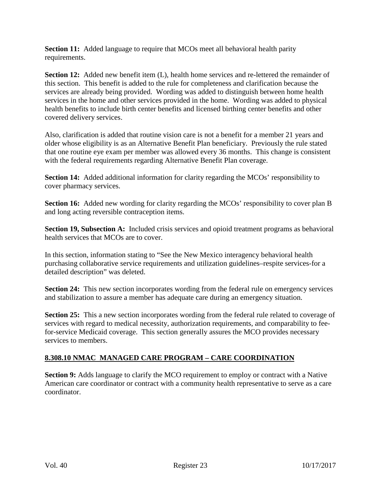**Section 11:** Added language to require that MCOs meet all behavioral health parity requirements.

**Section 12:** Added new benefit item (L), health home services and re-lettered the remainder of this section. This benefit is added to the rule for completeness and clarification because the services are already being provided. Wording was added to distinguish between home health services in the home and other services provided in the home. Wording was added to physical health benefits to include birth center benefits and licensed birthing center benefits and other covered delivery services.

Also, clarification is added that routine vision care is not a benefit for a member 21 years and older whose eligibility is as an Alternative Benefit Plan beneficiary. Previously the rule stated that one routine eye exam per member was allowed every 36 months. This change is consistent with the federal requirements regarding Alternative Benefit Plan coverage.

**Section 14:** Added additional information for clarity regarding the MCOs' responsibility to cover pharmacy services.

**Section 16:** Added new wording for clarity regarding the MCOs' responsibility to cover plan B and long acting reversible contraception items.

**Section 19, Subsection A:** Included crisis services and opioid treatment programs as behavioral health services that MCOs are to cover.

In this section, information stating to "See the New Mexico interagency behavioral health purchasing collaborative service requirements and utilization guidelines–respite services-for a detailed description" was deleted.

**Section 24:** This new section incorporates wording from the federal rule on emergency services and stabilization to assure a member has adequate care during an emergency situation.

**Section 25:** This a new section incorporates wording from the federal rule related to coverage of services with regard to medical necessity, authorization requirements, and comparability to feefor-service Medicaid coverage. This section generally assures the MCO provides necessary services to members.

## **8.308.10 NMAC MANAGED CARE PROGRAM – CARE COORDINATION**

**Section 9:** Adds language to clarify the MCO requirement to employ or contract with a Native American care coordinator or contract with a community health representative to serve as a care coordinator.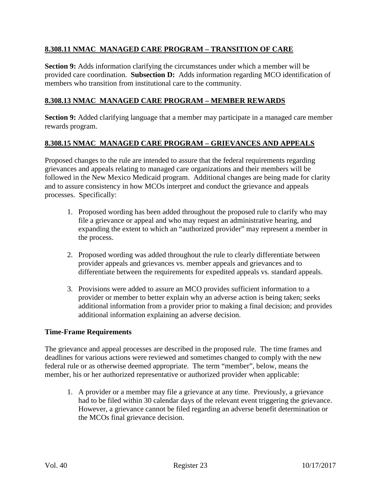## **8.308.11 NMAC MANAGED CARE PROGRAM – TRANSITION OF CARE**

**Section 9:** Adds information clarifying the circumstances under which a member will be provided care coordination. **Subsection D:** Adds information regarding MCO identification of members who transition from institutional care to the community.

#### **8.308.13 NMAC MANAGED CARE PROGRAM – MEMBER REWARDS**

**Section 9:** Added clarifying language that a member may participate in a managed care member rewards program.

#### **8.308.15 NMAC MANAGED CARE PROGRAM – GRIEVANCES AND APPEALS**

Proposed changes to the rule are intended to assure that the federal requirements regarding grievances and appeals relating to managed care organizations and their members will be followed in the New Mexico Medicaid program. Additional changes are being made for clarity and to assure consistency in how MCOs interpret and conduct the grievance and appeals processes. Specifically:

- 1. Proposed wording has been added throughout the proposed rule to clarify who may file a grievance or appeal and who may request an administrative hearing, and expanding the extent to which an "authorized provider" may represent a member in the process.
- 2. Proposed wording was added throughout the rule to clearly differentiate between provider appeals and grievances vs. member appeals and grievances and to differentiate between the requirements for expedited appeals vs. standard appeals.
- 3. Provisions were added to assure an MCO provides sufficient information to a provider or member to better explain why an adverse action is being taken; seeks additional information from a provider prior to making a final decision; and provides additional information explaining an adverse decision.

#### **Time-Frame Requirements**

The grievance and appeal processes are described in the proposed rule. The time frames and deadlines for various actions were reviewed and sometimes changed to comply with the new federal rule or as otherwise deemed appropriate. The term "member", below, means the member, his or her authorized representative or authorized provider when applicable:

1. A provider or a member may file a grievance at any time. Previously, a grievance had to be filed within 30 calendar days of the relevant event triggering the grievance. However, a grievance cannot be filed regarding an adverse benefit determination or the MCOs final grievance decision.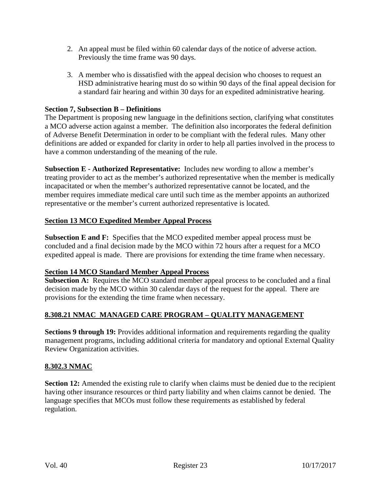- 2. An appeal must be filed within 60 calendar days of the notice of adverse action. Previously the time frame was 90 days.
- 3. A member who is dissatisfied with the appeal decision who chooses to request an HSD administrative hearing must do so within 90 days of the final appeal decision for a standard fair hearing and within 30 days for an expedited administrative hearing.

#### **Section 7, Subsection B – Definitions**

The Department is proposing new language in the definitions section, clarifying what constitutes a MCO adverse action against a member. The definition also incorporates the federal definition of Adverse Benefit Determination in order to be compliant with the federal rules. Many other definitions are added or expanded for clarity in order to help all parties involved in the process to have a common understanding of the meaning of the rule.

**Subsection E - Authorized Representative:** Includes new wording to allow a member's treating provider to act as the member's authorized representative when the member is medically incapacitated or when the member's authorized representative cannot be located, and the member requires immediate medical care until such time as the member appoints an authorized representative or the member's current authorized representative is located.

#### **Section 13 MCO Expedited Member Appeal Process**

**Subsection E and F:** Specifies that the MCO expedited member appeal process must be concluded and a final decision made by the MCO within 72 hours after a request for a MCO expedited appeal is made. There are provisions for extending the time frame when necessary.

#### **Section 14 MCO Standard Member Appeal Process**

**Subsection A:** Requires the MCO standard member appeal process to be concluded and a final decision made by the MCO within 30 calendar days of the request for the appeal. There are provisions for the extending the time frame when necessary.

## **8.308.21 NMAC MANAGED CARE PROGRAM – QUALITY MANAGEMENT**

**Sections 9 through 19:** Provides additional information and requirements regarding the quality management programs, including additional criteria for mandatory and optional External Quality Review Organization activities.

#### **8.302.3 NMAC**

**Section 12:** Amended the existing rule to clarify when claims must be denied due to the recipient having other insurance resources or third party liability and when claims cannot be denied. The language specifies that MCOs must follow these requirements as established by federal regulation.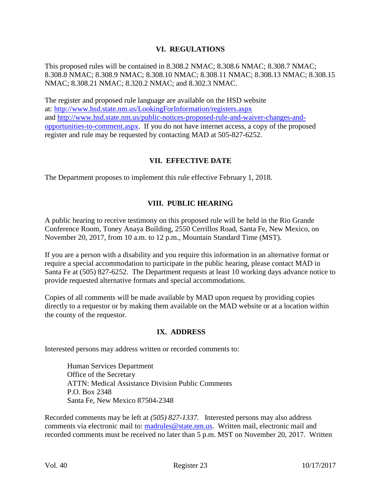#### **VI. REGULATIONS**

This proposed rules will be contained in 8.308.2 NMAC; 8.308.6 NMAC; 8.308.7 NMAC; 8.308.8 NMAC; 8.308.9 NMAC; 8.308.10 NMAC; 8.308.11 NMAC; 8.308.13 NMAC; 8.308.15 NMAC; 8.308.21 NMAC; 8.320.2 NMAC; and 8.302.3 NMAC.

The register and proposed rule language are available on the HSD website at:<http://www.hsd.state.nm.us/LookingForInformation/registers.aspx> and [http://www.hsd.state.nm.us/public-notices-proposed-rule-and-waiver-changes-and](http://www.hsd.state.nm.us/public-notices-proposed-rule-and-waiver-changes-and-opportunities-to-comment.aspx)[opportunities-to-comment.aspx.](http://www.hsd.state.nm.us/public-notices-proposed-rule-and-waiver-changes-and-opportunities-to-comment.aspx) If you do not have internet access, a copy of the proposed register and rule may be requested by contacting MAD at 505-827-6252.

## **VII. EFFECTIVE DATE**

The Department proposes to implement this rule effective February 1, 2018.

## **VIII. PUBLIC HEARING**

A public hearing to receive testimony on this proposed rule will be held in the Rio Grande Conference Room, Toney Anaya Building, 2550 Cerrillos Road, Santa Fe, New Mexico, on November 20, 2017, from 10 a.m. to 12 p.m., Mountain Standard Time (MST).

If you are a person with a disability and you require this information in an alternative format or require a special accommodation to participate in the public hearing, please contact MAD in Santa Fe at (505) 827-6252. The Department requests at least 10 working days advance notice to provide requested alternative formats and special accommodations.

Copies of all comments will be made available by MAD upon request by providing copies directly to a requestor or by making them available on the MAD website or at a location within the county of the requestor.

#### **IX. ADDRESS**

Interested persons may address written or recorded comments to:

Human Services Department Office of the Secretary ATTN: Medical Assistance Division Public Comments P.O. Box 2348 Santa Fe, New Mexico 87504-2348

Recorded comments may be left at *(505) 827-1337*. Interested persons may also address comments via electronic mail to: [madrules@state.nm.us.](mailto:madrules@state.nm.us) Written mail, electronic mail and recorded comments must be received no later than 5 p.m. MST on November 20, 2017. Written